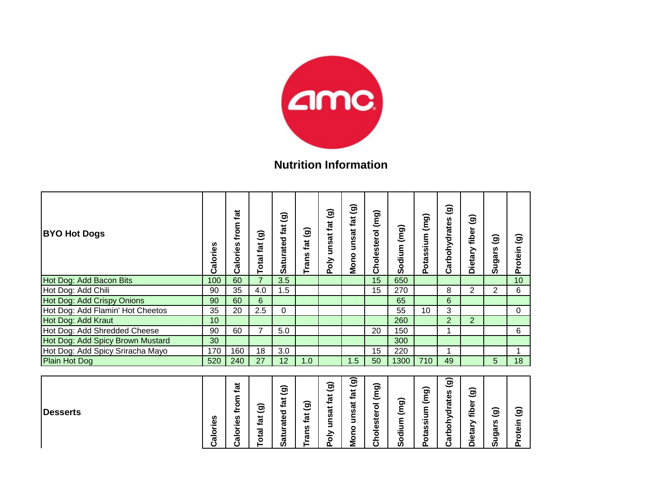

## **Nutrition Information**

| <b>BYO Hot Dogs</b>              | Calories | tat<br>from<br>Calories | $\widehat{\mathbf{e}}$<br><b>Total fat</b> | ම<br>Saturated fat                         | Trans fat (g) | Poly unsat fat (g) | unsat fat (g)<br>Mono | Cholesterol (mg) | Sodium (mg) | Potassium (mg) | $\widehat{\mathbf{e}}$<br>Carbohydrates | $\widehat{\mathbf{e}}$<br>Dietary fiber | $\widehat{\mathbf{e}}$<br>Sugars | $\widehat{\mathbf{e}}$<br>Protein |
|----------------------------------|----------|-------------------------|--------------------------------------------|--------------------------------------------|---------------|--------------------|-----------------------|------------------|-------------|----------------|-----------------------------------------|-----------------------------------------|----------------------------------|-----------------------------------|
| Hot Dog: Add Bacon Bits          | 100      | 60                      | $\overline{7}$                             | 3.5                                        |               |                    |                       | 15               | 650         |                |                                         |                                         |                                  | 10                                |
| Hot Dog: Add Chili               | 90       | 35                      | 4.0                                        | 1.5                                        |               |                    |                       | 15               | 270         |                | 8                                       | $\overline{2}$                          | $\overline{2}$                   | 6                                 |
| Hot Dog: Add Crispy Onions       | 90       | 60                      | 6                                          |                                            |               |                    |                       |                  | 65          |                | 6                                       |                                         |                                  |                                   |
| Hot Dog: Add Flamin' Hot Cheetos | 35       | 20                      | 2.5                                        | 0                                          |               |                    |                       |                  | 55          | 10             | 3                                       |                                         |                                  | $\Omega$                          |
| Hot Dog: Add Kraut               | 10       |                         |                                            |                                            |               |                    |                       |                  | 260         |                | $\overline{2}$                          | $\overline{2}$                          |                                  |                                   |
| Hot Dog: Add Shredded Cheese     | 90       | 60                      | 7                                          | 5.0                                        |               |                    |                       | 20               | 150         |                | 1                                       |                                         |                                  | 6                                 |
| Hot Dog: Add Spicy Brown Mustard | 30       |                         |                                            |                                            |               |                    |                       |                  | 300         |                |                                         |                                         |                                  |                                   |
| Hot Dog: Add Spicy Sriracha Mayo | 170      | 160                     | 18                                         | 3.0                                        |               |                    |                       | 15               | 220         |                | 1                                       |                                         |                                  | $\mathbf 1$                       |
| <b>Plain Hot Dog</b>             | 520      | 240                     | 27                                         | 12                                         | 1.0           |                    | 1.5                   | 50               | 1300        | 710            | 49                                      |                                         | 5                                | 18                                |
| <b>Desserts</b>                  | Calories | from fat<br>Calories    | $\widehat{\mathbf{e}}$<br><b>Total fat</b> | $\widehat{\mathbf{e}}$<br>tat<br>Saturated | Trans fat (g) | Poly unsat fat (g) | unsat fat (g)<br>Mono | Cholesterol (mg) | Sodium (mg) | Potassium (mg) | $\widehat{\mathbf{e}}$<br>Carbohydrates | $\widehat{\mathbf{e}}$<br>Dietary fiber | $\widehat{\mathbf{e}}$<br>Sugars | Protein (g)                       |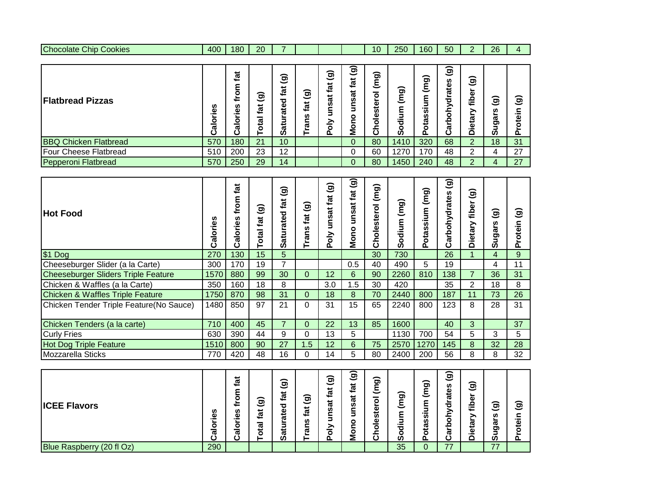| - -<br>50<br>400<br>ንሰ<br>ጋፎ<br>160<br>180<br>10<br>250<br>Chip<br>Cookies<br>--<br>- |           |  |  |  |  |  |  |  |
|---------------------------------------------------------------------------------------|-----------|--|--|--|--|--|--|--|
|                                                                                       | Chocolate |  |  |  |  |  |  |  |

| <b>Flatbread Pizzas</b>      | n<br>ق<br>Calo | tat<br>-<br>٥<br>≐<br>w<br>ق<br>. .<br>۰<br>ω<br>ر | $\widehat{\mathbf{e}}$<br>ಕ<br>ے<br>ά | ම<br>قع<br>ъ<br>ω<br>ಹ<br>ᡴ<br>ທ | ଚ<br>$\overline{\phantom{0}}$<br>ಕ<br>⊷<br>n<br>೯ | $\widehat{\mathbf{g}}$<br>$\vec{a}$<br>nsat<br>증<br>$\mathbf{a}$ | ම<br>tat<br>nsat<br>5<br>۰<br><b>Non</b> | (mq)<br>-<br>٥<br>ster<br>Φ<br>٥<br>ပ | ದ<br>트<br>ທ | ∽<br>ත<br>ഗ<br>ഗ<br>ᠭᠣ<br>n | $\widehat{\mathbf{g}}$<br>n<br>ate<br>о<br>↗<br>O<br>o<br>ᢐ<br>ت | $\widehat{\mathbf{g}}$<br>►<br>fibel<br>><br>ieta<br>$\Omega$ | $\widehat{\mathbf{e}}$<br>w<br>►<br>ច<br><br><b>5</b> | <u>j</u><br>Φ |
|------------------------------|----------------|----------------------------------------------------|---------------------------------------|----------------------------------|---------------------------------------------------|------------------------------------------------------------------|------------------------------------------|---------------------------------------|-------------|-----------------------------|------------------------------------------------------------------|---------------------------------------------------------------|-------------------------------------------------------|---------------|
| <b>BBQ Chicken Flatbread</b> | 570            | 180                                                | 21                                    | 10 <sup>°</sup>                  |                                                   |                                                                  | 0                                        | 80                                    | 1410        | 320                         | 68                                                               | っ                                                             | 18                                                    | 31            |
| <b>Four Cheese Flatbread</b> | 510            | 200                                                | 23                                    | 12                               |                                                   |                                                                  | 0                                        | 60                                    | 1270        | 170                         | 48                                                               | 2                                                             | 4                                                     | 27            |
| Pepperoni Flatbread          | 570            | 250                                                | 29                                    | 14                               |                                                   |                                                                  | 0                                        | 80                                    | 1450        | 240                         | 48                                                               | っ                                                             | 4                                                     | 27            |

| <b>Hot Food</b>                             | Calories | tat<br>from<br>alories<br>ت | ම<br>fat<br><b>Total</b> | ಹ<br>ಸ<br>ठ<br>ate<br>atur.<br>ທ | ම<br>fat<br>Trans | $\widehat{\mathbf{e}}$<br>fat<br>unsat<br>Poly | ම<br>fat<br>unsat<br>Mono | (mg)<br>$\overline{6}$<br>ste<br>ëlod<br>ت | (mg)<br>dium<br>۰<br>Ō | (mg)<br>m<br>.=<br>w<br>n<br>5<br>$\circ$<br>Ő. | $\widehat{\mathbf{e}}$<br>arbohydrates<br>ت | $\widehat{\mathbf{g}}$<br>fiber<br>Dietary | $\widehat{\mathbf{g}}$<br>ugars<br><b>S</b> | ಕಾ<br>≔<br>dei<br>൨ |
|---------------------------------------------|----------|-----------------------------|--------------------------|----------------------------------|-------------------|------------------------------------------------|---------------------------|--------------------------------------------|------------------------|-------------------------------------------------|---------------------------------------------|--------------------------------------------|---------------------------------------------|---------------------|
| $$1$ Dog                                    | 270      | 130                         | 15                       | 5                                |                   |                                                |                           | 30                                         | 730                    |                                                 | 26                                          |                                            | 4                                           | 9                   |
| Cheeseburger Slider (a la Carte)            | 300      | 170                         | 19                       | 7                                |                   |                                                | 0.5                       | 40                                         | 490                    | 5                                               | 19                                          |                                            | 4                                           | 11                  |
| <b>Cheeseburger Sliders Triple Feature</b>  | 1570     | 880                         | 99                       | 30                               | $\Omega$          | 12                                             | 6                         | 90                                         | 2260                   | 810                                             | 138                                         | $\overline{7}$                             | 36                                          | 31                  |
| Chicken & Waffles (a la Carte)              | 350      | 160                         | 18                       | 8                                |                   | 3.0                                            | 1.5                       | 30                                         | 420                    |                                                 | 35                                          | $\overline{2}$                             | 18                                          | 8                   |
| <b>Chicken &amp; Waffles Triple Feature</b> | 1750     | 870                         | 98                       | 31                               | $\Omega$          | 18                                             | 8                         | 70                                         | 2440                   | 800                                             | 187                                         | 11                                         | 73                                          | 26                  |
| Chicken Tender Triple Feature (No Sauce)    | 1480     | 850                         | 97                       | 21                               | $\Omega$          | 31                                             | 15                        | 65                                         | 2240                   | 800                                             | 123                                         | 8                                          | 28                                          | 31                  |
| Chicken Tenders (a la carte)                | 710      | 400                         | 45                       | $\overline{7}$                   | $\Omega$          | 22                                             | 13                        | 85                                         | 1600                   |                                                 | 40                                          | 3                                          |                                             | 37                  |
| <b>Curly Fries</b>                          | 630      | 390                         | 44                       | 9                                | 0                 | 13                                             | 5                         |                                            | 1130                   | 700                                             | 54                                          | 5                                          | 3                                           | 5.                  |
| <b>Hot Dog Triple Feature</b>               | 1510     | 800                         | 90                       | 27                               | 1.5               | 12                                             | 6                         | 75                                         | 2570                   | 1270                                            | 145                                         | 8                                          | 32                                          | 28                  |
| <b>Mozzarella Sticks</b>                    | 770      | 420                         | 48                       | 16                               | 0                 | 14                                             | 5.                        | 80                                         | 2400                   | 200                                             | 56                                          | 8                                          | 8                                           | 32                  |

| <b>ICEE Flavors</b>       | ഗ<br>ω<br><br>o<br>ω<br>ပ | お<br>⊷<br>▃<br>o<br>≎<br>ഗ<br>ω<br>$\overline{\phantom{0}}$<br>o<br>-<br>ω | $\widehat{\mathbf{g}}$<br>ᠭᠣ<br>ے<br>ᢐ | ∽<br>ත<br>$\check{ }$<br>پ<br>ø,<br>⊷<br>ᅙ<br>ω<br>ಕ<br>پ<br>ø,<br>ဖ | $\widehat{\mathbf{g}}$<br>fat<br>w<br>⊆<br>ᢎ<br>– | $\widehat{\mathbf{g}}$<br>ಸ<br>⊷<br>ಸ<br>U)<br>-<br>►<br>-<br>≥<br>Ō<br>௳ | $\widehat{\mathbf{e}}$<br>⊷<br>ᢐ<br>⊷<br>ಕ<br>n<br>o<br>٥<br>≂<br>⋍ | ತಾ<br>►<br>$\check{ }$<br>-<br>o<br>ω<br>ت<br>ഗ<br>ω<br>-<br>О<br>ں | ි<br>こ<br>-<br>$\circ$<br>ທ | ଚ<br>$\widehat{\epsilon}$<br>−<br>╘<br>$\overline{\phantom{0}}$<br>S<br>n<br>ℼ<br>نه<br>o<br>൨ | $\widehat{\mathbf{e}}$<br>ທ<br>ate<br>∼<br>ರ<br>⋋<br>ءَ<br>$\overline{\mathbf{o}}$<br>≏<br>నె<br>ပ | $\widehat{\mathbf{e}}$<br>►<br>۵<br>€<br>↗<br>ᢐ<br>ö<br><br>≏ | ଚ<br>$\check{ }$<br>n<br>ᡕᢐ<br>ටා<br>၈ | $\widehat{\mathbf{e}}$<br>∼<br>ʻ.<br>o |
|---------------------------|---------------------------|----------------------------------------------------------------------------|----------------------------------------|----------------------------------------------------------------------|---------------------------------------------------|---------------------------------------------------------------------------|---------------------------------------------------------------------|---------------------------------------------------------------------|-----------------------------|------------------------------------------------------------------------------------------------|----------------------------------------------------------------------------------------------------|---------------------------------------------------------------|----------------------------------------|----------------------------------------|
| Blue Raspberry (20 fl Oz) | 290                       |                                                                            |                                        |                                                                      |                                                   |                                                                           |                                                                     |                                                                     | 35                          | 0                                                                                              | 77                                                                                                 |                                                               | 77                                     |                                        |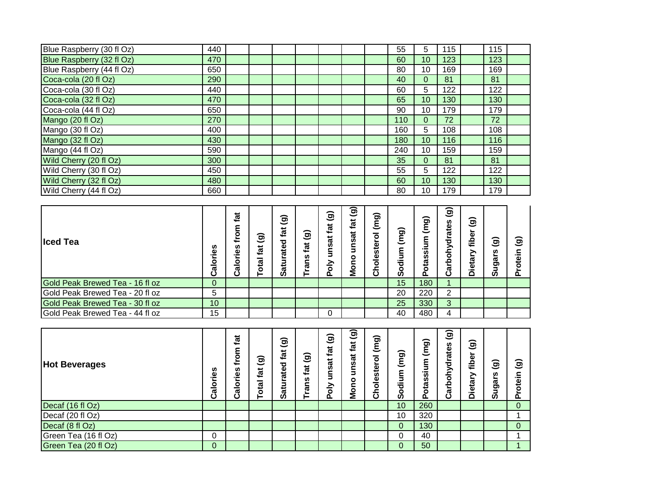| Blue Raspberry (30 fl Oz) | 440 |  |  |  | 55  | 5  | 115 | 115 |  |
|---------------------------|-----|--|--|--|-----|----|-----|-----|--|
| Blue Raspberry (32 fl Oz) | 470 |  |  |  | 60  | 10 | 123 | 123 |  |
| Blue Raspberry (44 fl Oz) | 650 |  |  |  | 80  | 10 | 169 | 169 |  |
| Coca-cola (20 fl Oz)      | 290 |  |  |  | 40  | 0  | 81  | 81  |  |
| Coca-cola (30 fl Oz)      | 440 |  |  |  | 60  | 5  | 122 | 122 |  |
| Coca-cola (32 fl Oz)      | 470 |  |  |  | 65  | 10 | 130 | 130 |  |
| Coca-cola (44 fl Oz)      | 650 |  |  |  | 90  | 10 | 179 | 179 |  |
| Mango (20 fl Oz)          | 270 |  |  |  | 110 | 0  | 72  | 72  |  |
| Mango (30 fl Oz)          | 400 |  |  |  | 160 | 5  | 108 | 108 |  |
| Mango (32 fl Oz)          | 430 |  |  |  | 180 | 10 | 116 | 116 |  |
| Mango (44 fl Oz)          | 590 |  |  |  | 240 | 10 | 159 | 159 |  |
| Wild Cherry (20 fl Oz)    | 300 |  |  |  | 35  | 0  | 81  | 81  |  |
| Wild Cherry (30 fl Oz)    | 450 |  |  |  | 55  | 5  | 122 | 122 |  |
| Wild Cherry (32 fl Oz)    | 480 |  |  |  | 60  | 10 | 130 | 130 |  |
| Wild Cherry (44 fl Oz)    | 660 |  |  |  | 80  | 10 | 179 | 179 |  |

| <b>Iced Tea</b>                 | Calories        | tat<br>from<br>Calories | $\widehat{\mathbf{e}}$<br>fat<br>otal | ි<br>ಸ<br>تسعه<br>ರ<br>ate<br>ಕ<br>Ø | ම<br>fat<br>rans<br>⊨ | $\widehat{\mathbf{e}}$<br>fat<br>unsat<br>$\sum_{i=1}^{n}$<br>ը | <u>j</u><br>tat<br>នី<br>۰<br><b>Non</b> | ಹ<br>Ξ<br>٥<br>ω<br>ഗ<br>۵<br>٥<br>ပ | ි<br>트<br>73<br>o<br>Ō | ଚ<br>ξ<br>ξ<br>lassil<br>ă | $\widehat{\mathbf{e}}$<br>rbohydrates<br>ర్ | $\widehat{\mathbf{e}}$<br>fiber<br><b>Dieta</b> | ଚ<br>n<br>ල<br>පා<br><b>S</b> | $\widehat{\mathbf{g}}$<br>$\bar{\mathbf{e}}$<br>$\circ$<br>o. |
|---------------------------------|-----------------|-------------------------|---------------------------------------|--------------------------------------|-----------------------|-----------------------------------------------------------------|------------------------------------------|--------------------------------------|------------------------|----------------------------|---------------------------------------------|-------------------------------------------------|-------------------------------|---------------------------------------------------------------|
| Gold Peak Brewed Tea - 16 fl oz | $\mathbf{0}$    |                         |                                       |                                      |                       |                                                                 |                                          |                                      | 15                     | 180                        |                                             |                                                 |                               |                                                               |
| Gold Peak Brewed Tea - 20 fl oz | 5               |                         |                                       |                                      |                       |                                                                 |                                          |                                      | 20                     | 220                        | 2                                           |                                                 |                               |                                                               |
| Gold Peak Brewed Tea - 30 fl oz | 10 <sup>1</sup> |                         |                                       |                                      |                       |                                                                 |                                          |                                      | 25                     | 330                        | 3                                           |                                                 |                               |                                                               |
| Gold Peak Brewed Tea - 44 fl oz | 15              |                         |                                       |                                      |                       | 0                                                               |                                          |                                      | 40                     | 480                        | 4                                           |                                                 |                               |                                                               |

| <b>Hot Beverages</b> | ဖာ<br>Calorie | tat<br>from<br>U)<br>alories | $\widehat{\mathbf{g}}$<br>tat<br>$\overline{\mathbf{g}}$<br>Ó | ම<br>tat<br>ated<br>atu<br><b>SC</b> | ම<br>fat<br>rans<br>⊢ | $\widehat{\mathbf{e}}$<br>fat<br>unsat<br>$\frac{5}{6}$<br>$\mathbf{a}$ | $\overline{\textbf{(g)}}$<br>fat<br>ಸ<br>šun<br>ဥ<br>o<br>Mo | ∽<br>ing)<br>$\check{ }$<br>٥<br>Φ<br>ت<br>n<br>₾<br>Ō<br>ပ | ଚ<br>٤<br>$\check{ }$<br>٤<br>ᅙ<br>o<br><b>S</b> | (mg)<br>ε<br>5<br>otassi<br>$\mathbf{a}$ | $\widehat{\mathbf{e}}$<br>ates<br>ohydra<br>Carb | $\widehat{\mathbf{e}}$<br>fiber<br>><br><b>Dietar</b> | $\widehat{\mathbf{g}}$<br>w<br><b>ga</b><br>ശ | ම<br>otein<br>௳ |
|----------------------|---------------|------------------------------|---------------------------------------------------------------|--------------------------------------|-----------------------|-------------------------------------------------------------------------|--------------------------------------------------------------|-------------------------------------------------------------|--------------------------------------------------|------------------------------------------|--------------------------------------------------|-------------------------------------------------------|-----------------------------------------------|-----------------|
| Decaf (16 fl Oz)     |               |                              |                                                               |                                      |                       |                                                                         |                                                              |                                                             | 10                                               | 260                                      |                                                  |                                                       |                                               | $\Omega$        |
| Decaf (20 fl Oz)     |               |                              |                                                               |                                      |                       |                                                                         |                                                              |                                                             | 10                                               | 320                                      |                                                  |                                                       |                                               |                 |
| Decaf (8 fl Oz)      |               |                              |                                                               |                                      |                       |                                                                         |                                                              |                                                             | $\Omega$                                         | 130                                      |                                                  |                                                       |                                               | $\overline{0}$  |
| Green Tea (16 fl Oz) | O             |                              |                                                               |                                      |                       |                                                                         |                                                              |                                                             |                                                  | 40                                       |                                                  |                                                       |                                               |                 |
| Green Tea (20 fl Oz) | 0             |                              |                                                               |                                      |                       |                                                                         |                                                              |                                                             | 0                                                | 50                                       |                                                  |                                                       |                                               |                 |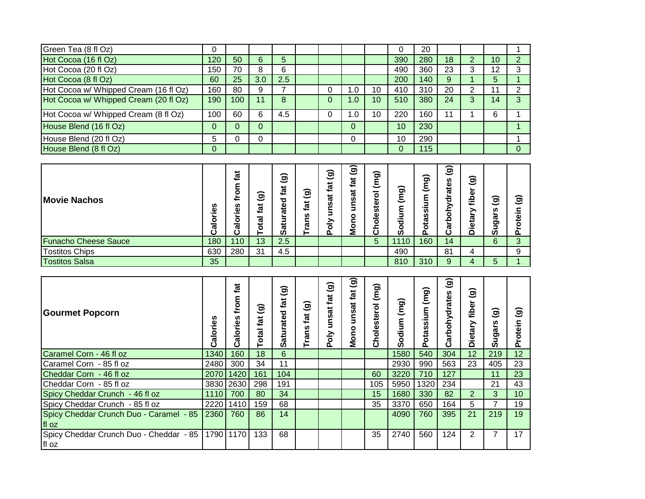| <b>Movie Nachos</b>                   | Calories       | tat<br>from<br>Calories | $\widehat{\mathbf{e}}$<br>tat<br><b>Total</b> | $\widehat{\mathbf{e}}$<br>fat<br>Saturated | ම<br>tat<br><b>Trans</b> | $\widehat{\mathbf{e}}$<br>unsat fat<br>Poly | unsat fat (g)<br>Mono | (mg)<br>Cholesterol | (mg<br>Sodium | (mg)<br>otassium | ම<br>Carbohydrates | $\widehat{\mathbf{e}}$<br>fiber<br>Dietary | $\widehat{\mathbf{e}}$<br>Sugars | Protein (g)    |
|---------------------------------------|----------------|-------------------------|-----------------------------------------------|--------------------------------------------|--------------------------|---------------------------------------------|-----------------------|---------------------|---------------|------------------|--------------------|--------------------------------------------|----------------------------------|----------------|
|                                       |                |                         |                                               |                                            |                          |                                             |                       |                     |               |                  |                    |                                            |                                  |                |
| House Blend (8 fl Oz)                 | $\mathbf{0}$   |                         |                                               |                                            |                          |                                             |                       |                     | $\mathbf{0}$  | 115              |                    |                                            |                                  | $\overline{0}$ |
| House Blend (20 fl Oz)                | 5              | 0                       | $\Omega$                                      |                                            |                          |                                             | 0                     |                     | 10            | 290              |                    |                                            |                                  |                |
| House Blend (16 fl Oz)                | $\overline{0}$ | $\mathbf{0}$            | $\Omega$                                      |                                            |                          |                                             | 0                     |                     | 10            | 230              |                    |                                            |                                  |                |
| Hot Cocoa w/ Whipped Cream (8 fl Oz)  | 100            | 60                      | 6                                             | 4.5                                        |                          | $\mathbf{0}$                                | 1.0                   | 10                  | 220           | 160              | 11                 | 1                                          | 6                                | 1              |
| Hot Cocoa w/ Whipped Cream (20 fl Oz) | 190            | 100                     | 11                                            | 8                                          |                          | $\Omega$                                    | 1.0                   | 10                  | 510           | 380              | 24                 | 3                                          | 14                               | $\overline{3}$ |
| Hot Cocoa w/ Whipped Cream (16 fl Oz) | 160            | 80                      | 9                                             | 7                                          |                          | 0                                           | 1.0                   | 10                  | 410           | 310              | 20                 | 2                                          | 11                               | $\overline{2}$ |
| Hot Cocoa (8 fl Oz)                   | 60             | 25                      | 3.0                                           | 2.5                                        |                          |                                             |                       |                     | 200           | 140              | 9                  | 1                                          | 5                                | $\mathbf{1}$   |
| Hot Cocoa (20 fl Oz)                  | 150            | 70                      | 8                                             | 6                                          |                          |                                             |                       |                     | 490           | 360              | 23                 | 3                                          | 12                               | 3              |
| Hot Cocoa (16 fl Oz)                  | 120            | 50                      | 6                                             | 5                                          |                          |                                             |                       |                     | 390           | 280              | 18                 | 2                                          | 10                               | $\overline{2}$ |
| Green Tea (8 fl Oz)                   | 0              |                         |                                               |                                            |                          |                                             |                       |                     | 0             | 20               |                    |                                            |                                  |                |

| <b>Gourmet Popcorn</b>                           | Calories | tat<br>ξ<br>ۓ<br>w<br>alories<br>ပ | ଚ<br>$\vec{z}$<br>ota | ଚ<br>ಸ<br>ated<br>atu<br>ທ | ම<br>fat<br>rans | $\widehat{\mathbf{e}}$<br>tat<br>unsat<br>Poly | ම<br>fat<br>unsat<br><b>Mono</b> | ∽<br>(mg)<br>$\overline{\bullet}$<br>ster<br>$\frac{1}{\overline{a}}$<br>ర్ | (Bul<br>ξ<br>ᄛ<br>o<br>ທ | (mg)<br>m<br>$\overline{\phantom{0}}$<br>otass<br>Δ. | ම<br>arbohydrates<br>ن | $\widehat{\mathbf{e}}$<br>fiber<br>><br><b>Dietar</b> | ම<br>ທ<br>ga<br>ທ | ಹ<br>≘.<br>otei<br>൨ |
|--------------------------------------------------|----------|------------------------------------|-----------------------|----------------------------|------------------|------------------------------------------------|----------------------------------|-----------------------------------------------------------------------------|--------------------------|------------------------------------------------------|------------------------|-------------------------------------------------------|-------------------|----------------------|
| Caramel Corn - 46 fl oz                          | 1340     | 160                                | 18                    | 6                          |                  |                                                |                                  |                                                                             | 1580                     | 540                                                  | 304                    | 12                                                    | 219               | 12                   |
| Caramel Corn - 85 fl oz                          | 2480     | 300                                | 34                    | 11                         |                  |                                                |                                  |                                                                             | 2930                     | 990                                                  | 563                    | 23                                                    | 405               | 23                   |
| Cheddar Corn - 46 fl oz                          | 2070     | 1420                               | 161                   | 104                        |                  |                                                |                                  | 60                                                                          | 3220                     | 710                                                  | 127                    |                                                       | 11                | 23                   |
| Cheddar Corn - 85 fl oz                          | 3830     | 2630                               | 298                   | 191                        |                  |                                                |                                  | 105                                                                         | 5950                     | 1320                                                 | 234                    |                                                       | 21                | 43                   |
| Spicy Cheddar Crunch - 46 fl oz                  | 1110     | 700                                | 80                    | 34                         |                  |                                                |                                  | 15                                                                          | 1680                     | 330                                                  | 82                     | $\overline{2}$                                        | 3                 | 10                   |
| Spicy Cheddar Crunch - 85 fl oz                  | 2220     | 1410                               | 159                   | 68                         |                  |                                                |                                  | 35                                                                          | 3370                     | 650                                                  | 164                    | 5                                                     |                   | 19                   |
| Spicy Cheddar Crunch Duo - Caramel - 85<br>fl oz | 2360     | 760                                | 86                    | 14                         |                  |                                                |                                  |                                                                             | 4090                     | 760                                                  | 395                    | 21                                                    | 219               | 19                   |
| Spicy Cheddar Crunch Duo - Cheddar - 85<br>fl oz |          | 1790 1170                          | 133                   | 68                         |                  |                                                |                                  | 35                                                                          | 2740                     | 560                                                  | 124                    | 2                                                     |                   | 17                   |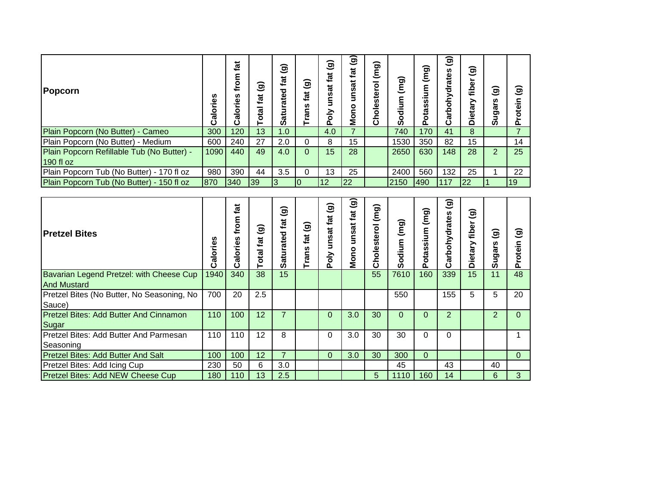| Popcorn                                                 | ries<br>Calor | tat<br>from<br>Calories | ଚ<br>c<br>tat<br>Total | $\widehat{\mathbf{e}}$<br>tat<br>ਠ<br><u>ត</u><br>Sati | ଚ<br>ಕ<br>ے<br>n<br>೯ | $\widehat{\mathbf{g}}$<br>fat<br>unsat<br>Poly | ම<br>tat<br>unsat<br>Mono | (mg)<br>olesterol<br>င် | $\overline{(\mathsf{m}\mathsf{g})}$<br>٤<br>ъ<br>o<br>Ō | (mg)<br>._<br>S<br>Ŵ,<br>Š<br>٥ | ଚ<br>$\check{ }$<br>n<br>ratei<br>ਠ<br>≧<br>ठ<br>Carb | $\widehat{\mathbf{g}}$<br>►<br>fiber<br>Dietary | $\widehat{\mathbf{g}}$<br>Sugars | ම<br>rotein |
|---------------------------------------------------------|---------------|-------------------------|------------------------|--------------------------------------------------------|-----------------------|------------------------------------------------|---------------------------|-------------------------|---------------------------------------------------------|---------------------------------|-------------------------------------------------------|-------------------------------------------------|----------------------------------|-------------|
| Plain Popcorn (No Butter) - Cameo                       | 300           | 120                     | 13                     | 1.0                                                    |                       | 4.0                                            | 7                         |                         | 740                                                     | 170                             | 41                                                    | 8                                               |                                  |             |
| Plain Popcorn (No Butter) - Medium                      | 600           | 240                     | 27                     | 2.0                                                    | 0                     | 8                                              | 15                        |                         | 1530                                                    | 350                             | 82                                                    | 15                                              |                                  | 14          |
| Plain Popcorn Refillable Tub (No Butter) -<br>190 fl oz | 1090          | 440                     | 49                     | 4.0                                                    | 0                     | 15                                             | 28                        |                         | 2650                                                    | 630                             | 148                                                   | 28                                              | $\overline{2}$                   | 25          |
| Plain Popcorn Tub (No Butter) - 170 fl oz               | 980           | 390                     | 44                     | 3.5                                                    | 0                     | 13                                             | 25                        |                         | 2400                                                    | 560                             | 132                                                   | 25                                              |                                  | 22          |
| Plain Popcorn Tub (No Butter) - 150 fl oz               | 1870          | 340                     | 39                     | 3                                                      | $\overline{0}$        | 12                                             | 22                        |                         | 2150                                                    | <b>490</b>                      | 117                                                   | 122                                             |                                  | 19          |

| <b>Pretzel Bites</b>                          | n<br>Calorie | tat<br>from<br>Calories | ම<br>tat<br>Total | ಹ<br>ಕ<br>ated<br>atur:<br>Ø | ම<br>fat<br><b>Trans</b> | $\widehat{\mathbf{e}}$<br>unsat fat<br>Poly | $\widehat{\mathbf{e}}$<br>fat<br>unsat<br>Mono | (mg)<br>$\overline{6}$<br>Choleste | (mg)<br>dium<br>$\circ$<br>Ø | $\overline{m}$<br>sium<br>otas<br>൨ | $\widehat{\mathbf{g}}$<br>arbohydrates<br>د | ම<br>fiber<br>Dietary | $\widehat{\mathbf{g}}$<br>ugars<br>ທ | ົ໐<br>otein<br>ւ |
|-----------------------------------------------|--------------|-------------------------|-------------------|------------------------------|--------------------------|---------------------------------------------|------------------------------------------------|------------------------------------|------------------------------|-------------------------------------|---------------------------------------------|-----------------------|--------------------------------------|------------------|
| Bavarian Legend Pretzel: with Cheese Cup      | 1940         | 340                     | 38                | 15                           |                          |                                             |                                                | 55                                 | 7610                         | 160                                 | 339                                         | 15                    | 11                                   | 48               |
| <b>And Mustard</b>                            |              |                         |                   |                              |                          |                                             |                                                |                                    |                              |                                     |                                             |                       |                                      |                  |
| Pretzel Bites (No Butter, No Seasoning, No    | 700          | 20                      | 2.5               |                              |                          |                                             |                                                |                                    | 550                          |                                     | 155                                         | 5                     | 5                                    | 20               |
| Sauce)                                        |              |                         |                   |                              |                          |                                             |                                                |                                    |                              |                                     |                                             |                       |                                      |                  |
| <b>Pretzel Bites: Add Butter And Cinnamon</b> | 110          | 100                     | 12                | 7                            |                          | $\Omega$                                    | 3.0                                            | 30                                 | $\Omega$                     | $\Omega$                            | $\overline{2}$                              |                       | 2                                    | 0                |
| Sugar                                         |              |                         |                   |                              |                          |                                             |                                                |                                    |                              |                                     |                                             |                       |                                      |                  |
| <b>Pretzel Bites: Add Butter And Parmesan</b> | 110          | 110                     | 12                | 8                            |                          | 0                                           | 3.0                                            | 30                                 | 30                           | $\Omega$                            | $\Omega$                                    |                       |                                      |                  |
| Seasoning                                     |              |                         |                   |                              |                          |                                             |                                                |                                    |                              |                                     |                                             |                       |                                      |                  |
| <b>Pretzel Bites: Add Butter And Salt</b>     | 100          | 100                     | 12                | 7                            |                          | $\Omega$                                    | 3.0                                            | 30                                 | 300                          | $\Omega$                            |                                             |                       |                                      | $\Omega$         |
| Pretzel Bites: Add Icing Cup                  | 230          | 50                      | 6                 | 3.0                          |                          |                                             |                                                |                                    | 45                           |                                     | 43                                          |                       | 40                                   |                  |
| Pretzel Bites: Add NEW Cheese Cup             | 180          | 110                     | 13                | 2.5                          |                          |                                             |                                                | 5                                  | 1110                         | 160                                 | 14                                          |                       | 6                                    | 3                |